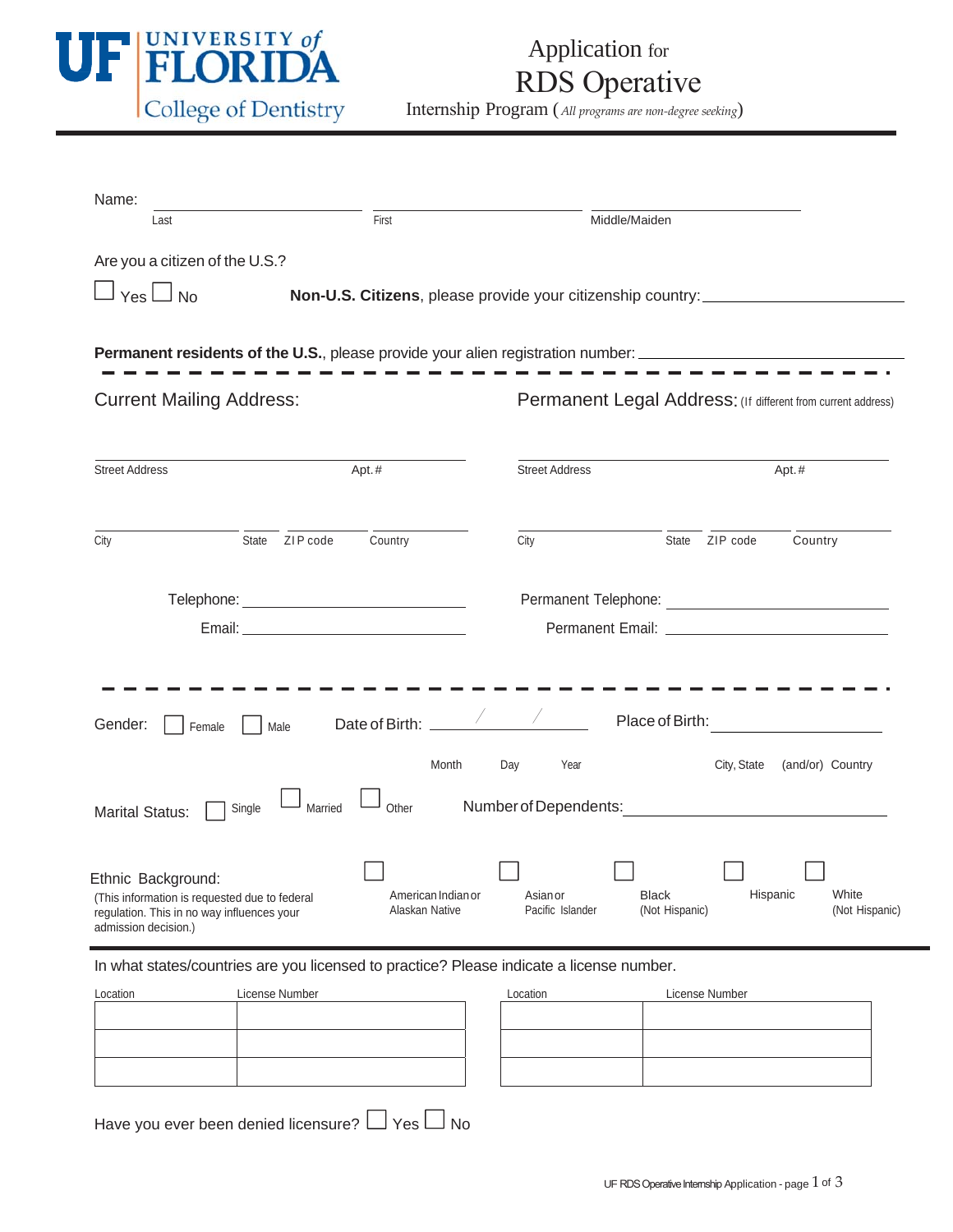

## Application for RDS Operative

Internship Program (*All programs are non‐degree seeking*)

| Name:                                                                                                |                   |                                      |                              |                                                                                  |             |                         |  |  |
|------------------------------------------------------------------------------------------------------|-------------------|--------------------------------------|------------------------------|----------------------------------------------------------------------------------|-------------|-------------------------|--|--|
| Last                                                                                                 |                   | First                                |                              | Middle/Maiden                                                                    |             |                         |  |  |
| Are you a citizen of the U.S.?                                                                       |                   |                                      |                              |                                                                                  |             |                         |  |  |
|                                                                                                      |                   |                                      |                              |                                                                                  |             |                         |  |  |
| $Yes \Box No$                                                                                        |                   |                                      |                              | Non-U.S. Citizens, please provide your citizenship country: ____________________ |             |                         |  |  |
|                                                                                                      |                   |                                      |                              |                                                                                  |             |                         |  |  |
| Permanent residents of the U.S., please provide your alien registration number: ____________________ |                   |                                      |                              |                                                                                  |             |                         |  |  |
| <b>Current Mailing Address:</b>                                                                      |                   |                                      |                              | Permanent Legal Address: (If different from current address)                     |             |                         |  |  |
|                                                                                                      |                   |                                      |                              |                                                                                  |             |                         |  |  |
|                                                                                                      |                   |                                      |                              |                                                                                  |             |                         |  |  |
| <b>Street Address</b>                                                                                | Apt.#             |                                      | <b>Street Address</b>        |                                                                                  | Apt.#       |                         |  |  |
|                                                                                                      |                   |                                      |                              |                                                                                  |             |                         |  |  |
|                                                                                                      | ZIP code          |                                      |                              | State                                                                            |             |                         |  |  |
| City                                                                                                 | State             | Country                              | City                         |                                                                                  | ZIP code    | Country                 |  |  |
|                                                                                                      |                   |                                      |                              |                                                                                  |             |                         |  |  |
|                                                                                                      |                   |                                      |                              |                                                                                  |             |                         |  |  |
|                                                                                                      |                   |                                      |                              |                                                                                  |             |                         |  |  |
|                                                                                                      |                   |                                      |                              |                                                                                  |             |                         |  |  |
|                                                                                                      |                   |                                      |                              |                                                                                  |             |                         |  |  |
| Gender:                                                                                              | Male              | Date of Birth:                       |                              | Place of Birth:                                                                  |             |                         |  |  |
| Female                                                                                               |                   |                                      |                              |                                                                                  |             |                         |  |  |
|                                                                                                      |                   | Month                                | Day<br>Year                  |                                                                                  | City, State | (and/or) Country        |  |  |
|                                                                                                      |                   |                                      |                              |                                                                                  |             |                         |  |  |
| <b>Marital Status:</b>                                                                               | Married<br>Single | Other                                | Number of Dependents:        |                                                                                  |             |                         |  |  |
|                                                                                                      |                   |                                      |                              |                                                                                  |             |                         |  |  |
| Ethnic Background:                                                                                   |                   |                                      |                              |                                                                                  |             |                         |  |  |
| (This information is requested due to federal<br>regulation. This in no way influences your          |                   | American Indian or<br>Alaskan Native | Asian or<br>Pacific Islander | <b>Black</b><br>(Not Hispanic)                                                   | Hispanic    | White<br>(Not Hispanic) |  |  |
| admission decision.)                                                                                 |                   |                                      |                              |                                                                                  |             |                         |  |  |
|                                                                                                      |                   |                                      |                              |                                                                                  |             |                         |  |  |

In what states/countries are you licensed to practice? Please indicate a license number.

| Location | License Number | Location | License Number |
|----------|----------------|----------|----------------|
|          |                |          |                |
|          |                |          |                |
|          |                |          |                |
|          |                |          |                |

| Location | License Number |
|----------|----------------|
|          |                |
|          |                |
|          |                |
|          |                |
|          |                |
|          |                |

Have you ever been denied licensure?  $\Box$  Yes  $\Box$  No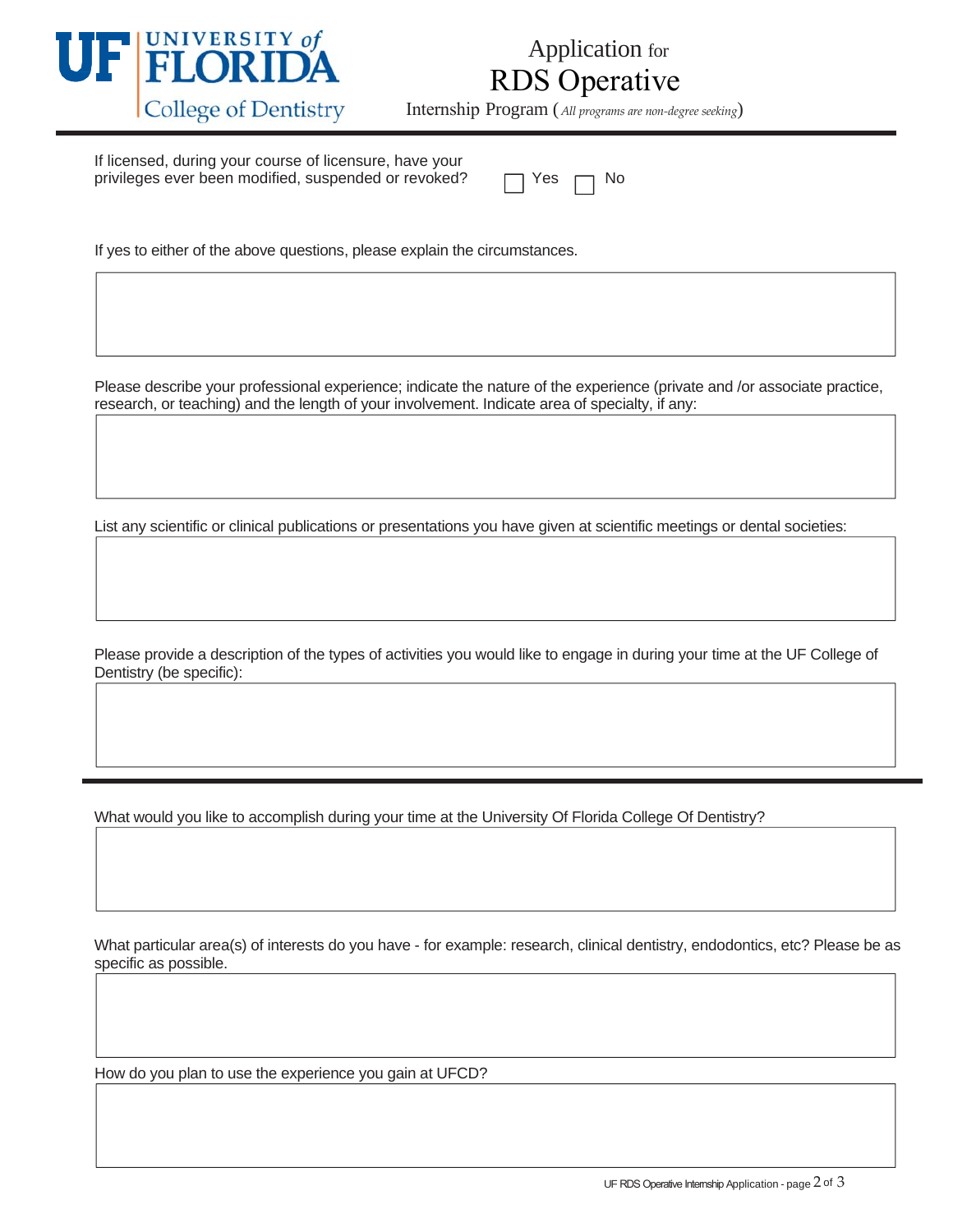

## Application for RDS Operative

Internship Program (*All programs are non‐degree seeking*)

If licensed, during your course of licensure, have your privileges ever been modified, suspended or revoked?

| --<br>YAS |  | N٥ |
|-----------|--|----|
|-----------|--|----|

If yes to either of the above questions, please explain the circumstances.

Please describe your professional experience; indicate the nature of the experience (private and /or associate practice, research, or teaching) and the length of your involvement. Indicate area of specialty, if any:

List any scientific or clinical publications or presentations you have given at scientific meetings or dental societies:

Please provide a description of the types of activities you would like to engage in during your time at the UF College of Dentistry (be specific):

What would you like to accomplish during your time at the University Of Florida College Of Dentistry?

What particular area(s) of interests do you have - for example: research, clinical dentistry, endodontics, etc? Please be as specific as possible.

How do you plan to use the experience you gain at UFCD?